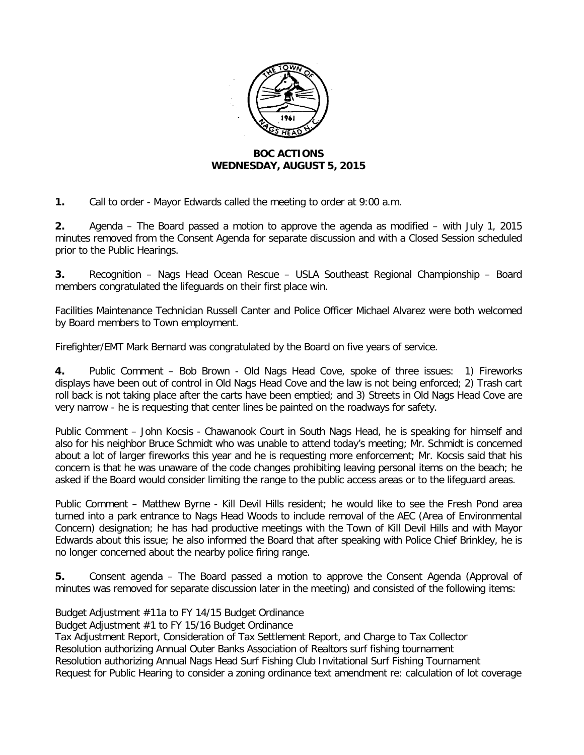

## **BOC ACTIONS WEDNESDAY, AUGUST 5, 2015**

**1.** Call to order - Mayor Edwards called the meeting to order at 9:00 a.m.

**2.** Agenda – The Board passed a motion to approve the agenda as modified – with July 1, 2015 minutes removed from the Consent Agenda for separate discussion and with a Closed Session scheduled prior to the Public Hearings.

**3.** Recognition – Nags Head Ocean Rescue – USLA Southeast Regional Championship – Board members congratulated the lifeguards on their first place win.

Facilities Maintenance Technician Russell Canter and Police Officer Michael Alvarez were both welcomed by Board members to Town employment.

Firefighter/EMT Mark Bernard was congratulated by the Board on five years of service.

**4.** Public Comment – Bob Brown - Old Nags Head Cove, spoke of three issues: 1) Fireworks displays have been out of control in Old Nags Head Cove and the law is not being enforced; 2) Trash cart roll back is not taking place after the carts have been emptied; and 3) Streets in Old Nags Head Cove are very narrow - he is requesting that center lines be painted on the roadways for safety.

Public Comment – John Kocsis - Chawanook Court in South Nags Head, he is speaking for himself and also for his neighbor Bruce Schmidt who was unable to attend today's meeting; Mr. Schmidt is concerned about a lot of larger fireworks this year and he is requesting more enforcement; Mr. Kocsis said that his concern is that he was unaware of the code changes prohibiting leaving personal items on the beach; he asked if the Board would consider limiting the range to the public access areas or to the lifeguard areas.

Public Comment – Matthew Byrne - Kill Devil Hills resident; he would like to see the Fresh Pond area turned into a park entrance to Nags Head Woods to include removal of the AEC (Area of Environmental Concern) designation; he has had productive meetings with the Town of Kill Devil Hills and with Mayor Edwards about this issue; he also informed the Board that after speaking with Police Chief Brinkley, he is no longer concerned about the nearby police firing range.

**5.** Consent agenda – The Board passed a motion to approve the Consent Agenda (Approval of minutes was removed for separate discussion later in the meeting) and consisted of the following items:

Budget Adjustment #11a to FY 14/15 Budget Ordinance

Budget Adjustment #1 to FY 15/16 Budget Ordinance

Tax Adjustment Report, Consideration of Tax Settlement Report, and Charge to Tax Collector Resolution authorizing Annual Outer Banks Association of Realtors surf fishing tournament Resolution authorizing Annual Nags Head Surf Fishing Club Invitational Surf Fishing Tournament Request for Public Hearing to consider a zoning ordinance text amendment re: calculation of lot coverage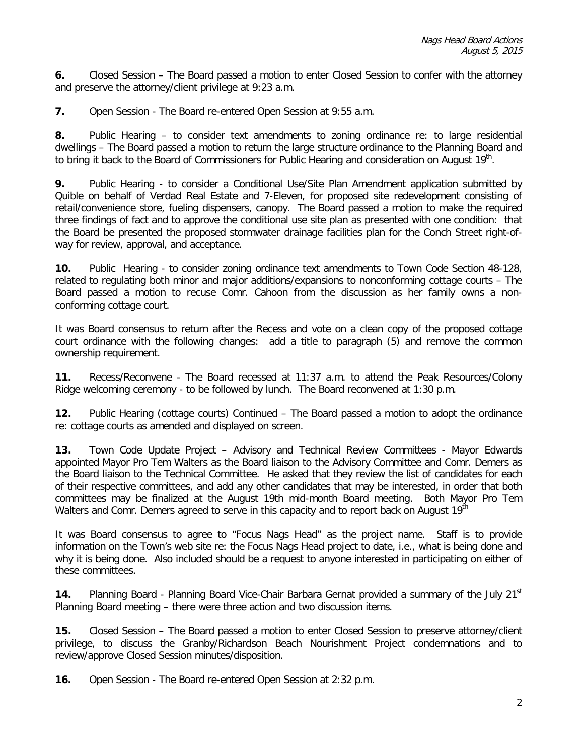**6.** Closed Session – The Board passed a motion to enter Closed Session to confer with the attorney and preserve the attorney/client privilege at 9:23 a.m.

**7.** Open Session - The Board re-entered Open Session at 9:55 a.m.

**8.** Public Hearing – to consider text amendments to zoning ordinance re: to large residential dwellings – The Board passed a motion to return the large structure ordinance to the Planning Board and to bring it back to the Board of Commissioners for Public Hearing and consideration on August 19<sup>th</sup>.

**9.** Public Hearing - to consider a Conditional Use/Site Plan Amendment application submitted by Quible on behalf of Verdad Real Estate and 7-Eleven, for proposed site redevelopment consisting of retail/convenience store, fueling dispensers, canopy. The Board passed a motion to make the required three findings of fact and to approve the conditional use site plan as presented with one condition: that the Board be presented the proposed stormwater drainage facilities plan for the Conch Street right-ofway for review, approval, and acceptance.

**10.** Public Hearing - to consider zoning ordinance text amendments to Town Code Section 48-128, related to regulating both minor and major additions/expansions to nonconforming cottage courts – The Board passed a motion to recuse Comr. Cahoon from the discussion as her family owns a nonconforming cottage court.

It was Board consensus to return after the Recess and vote on a clean copy of the proposed cottage court ordinance with the following changes: add a title to paragraph (5) and remove the common ownership requirement.

**11.** Recess/Reconvene - The Board recessed at 11:37 a.m. to attend the Peak Resources/Colony Ridge welcoming ceremony - to be followed by lunch. The Board reconvened at 1:30 p.m.

**12.** Public Hearing (cottage courts) Continued – The Board passed a motion to adopt the ordinance re: cottage courts as amended and displayed on screen.

**13.** Town Code Update Project – Advisory and Technical Review Committees - Mayor Edwards appointed Mayor Pro Tem Walters as the Board liaison to the Advisory Committee and Comr. Demers as the Board liaison to the Technical Committee. He asked that they review the list of candidates for each of their respective committees, and add any other candidates that may be interested, in order that both committees may be finalized at the August 19th mid-month Board meeting. Both Mayor Pro Tem Walters and Comr. Demers agreed to serve in this capacity and to report back on August 19<sup>th</sup>

It was Board consensus to agree to "Focus Nags Head" as the project name. Staff is to provide information on the Town's web site re: the Focus Nags Head project to date, i.e., what is being done and why it is being done. Also included should be a request to anyone interested in participating on either of these committees.

**14.** Planning Board - Planning Board Vice-Chair Barbara Gernat provided a summary of the July 21<sup>st</sup> Planning Board meeting – there were three action and two discussion items.

**15.** Closed Session – The Board passed a motion to enter Closed Session to preserve attorney/client privilege, to discuss the Granby/Richardson Beach Nourishment Project condemnations and to review/approve Closed Session minutes/disposition.

**16.** Open Session - The Board re-entered Open Session at 2:32 p.m.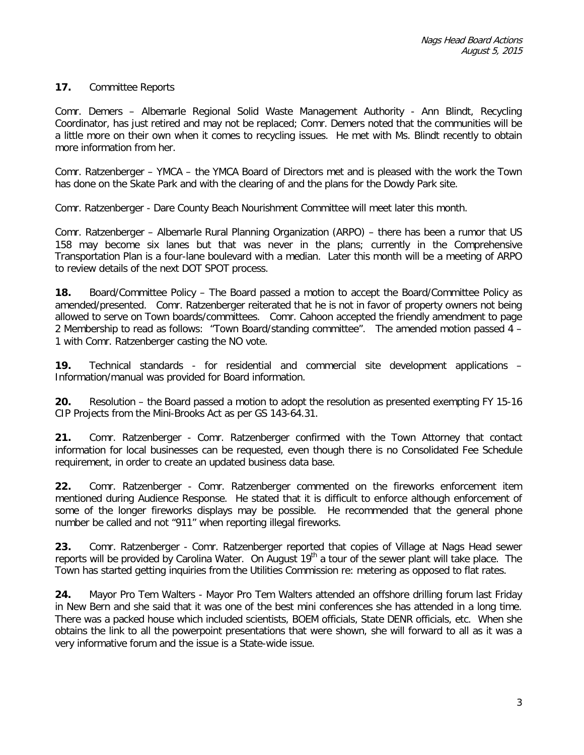## **17.** Committee Reports

Comr. Demers – Albemarle Regional Solid Waste Management Authority - Ann Blindt, Recycling Coordinator, has just retired and may not be replaced; Comr. Demers noted that the communities will be a little more on their own when it comes to recycling issues. He met with Ms. Blindt recently to obtain more information from her.

Comr. Ratzenberger – YMCA – the YMCA Board of Directors met and is pleased with the work the Town has done on the Skate Park and with the clearing of and the plans for the Dowdy Park site.

Comr. Ratzenberger - Dare County Beach Nourishment Committee will meet later this month.

Comr. Ratzenberger – Albemarle Rural Planning Organization (ARPO) – there has been a rumor that US 158 may become six lanes but that was never in the plans; currently in the Comprehensive Transportation Plan is a four-lane boulevard with a median. Later this month will be a meeting of ARPO to review details of the next DOT SPOT process.

**18.** Board/Committee Policy – The Board passed a motion to accept the Board/Committee Policy as amended/presented. Comr. Ratzenberger reiterated that he is not in favor of property owners not being allowed to serve on Town boards/committees. Comr. Cahoon accepted the friendly amendment to page 2 Membership to read as follows: "Town Board/standing committee". The amended motion passed 4 – 1 with Comr. Ratzenberger casting the NO vote.

**19.** Technical standards - for residential and commercial site development applications – Information/manual was provided for Board information.

**20.** Resolution – the Board passed a motion to adopt the resolution as presented exempting FY 15-16 CIP Projects from the Mini-Brooks Act as per GS 143-64.31.

**21.** Comr. Ratzenberger - Comr. Ratzenberger confirmed with the Town Attorney that contact information for local businesses can be requested, even though there is no Consolidated Fee Schedule requirement, in order to create an updated business data base.

**22.** Comr. Ratzenberger - Comr. Ratzenberger commented on the fireworks enforcement item mentioned during Audience Response. He stated that it is difficult to enforce although enforcement of some of the longer fireworks displays may be possible. He recommended that the general phone number be called and not "911" when reporting illegal fireworks.

**23.** Comr. Ratzenberger - Comr. Ratzenberger reported that copies of Village at Nags Head sewer reports will be provided by Carolina Water. On August 19<sup>th</sup> a tour of the sewer plant will take place. The Town has started getting inquiries from the Utilities Commission re: metering as opposed to flat rates.

**24.** Mayor Pro Tem Walters - Mayor Pro Tem Walters attended an offshore drilling forum last Friday in New Bern and she said that it was one of the best mini conferences she has attended in a long time. There was a packed house which included scientists, BOEM officials, State DENR officials, etc. When she obtains the link to all the powerpoint presentations that were shown, she will forward to all as it was a very informative forum and the issue is a State-wide issue.